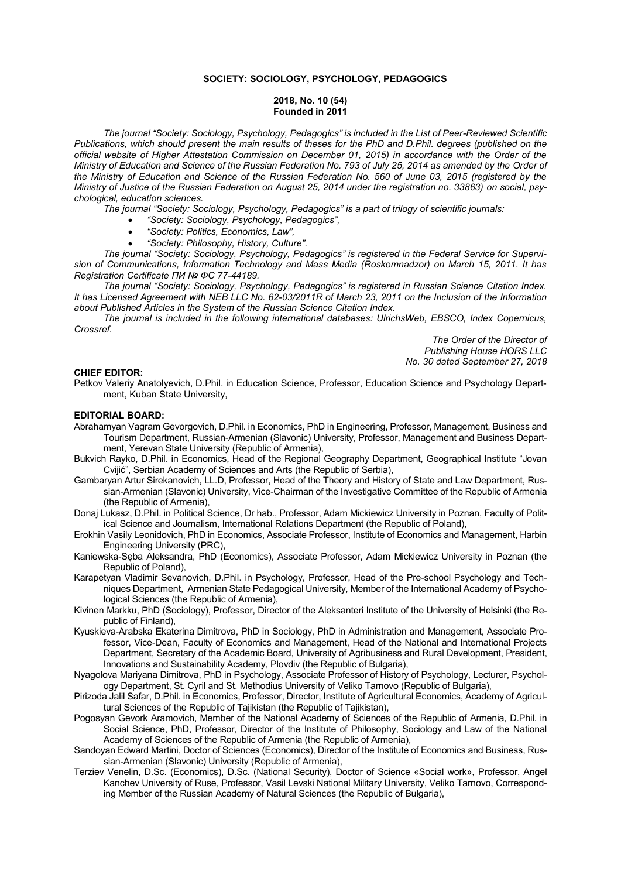## **SOCIETY: SOCIOLOGY, PSYCHOLOGY, PEDAGOGICS**

### **2018, No. 10 (54) Founded in 2011**

*The journal "Society: Sociology, Psychology, Pedagogics" is included in the List of Peer-Reviewed Scientific Publications, which should present the main results of theses for the PhD and D.Phil. degrees (published on the official website of Higher Attestation Commission on December 01, 2015) in accordance with the Order of the Ministry of Education and Science of the Russian Federation No. 793 of July 25, 2014 as amended by the Order of the Ministry of Education and Science of the Russian Federation No. 560 of June 03, 2015 (registered by the Ministry of Justice of the Russian Federation on August 25, 2014 under the registration no. 33863) on social, psychological, education sciences.*

*The journal "Society: Sociology, Psychology, Pedagogics" is a part of trilogy of scientific journals:*

- *"Society: Sociology, Psychology, Pedagogics",*
- *"Society: Politics, Economics, Law",*
- *"Society: Philosophy, History, Culture".*

*The journal "Society: Sociology, Psychology, Pedagogics" is registered in the Federal Service for Supervision of Communications, Information Technology and Mass Media (Roskomnadzor) on March 15, 2011. It has Registration Certificate ПИ № ФС 77-44189.*

*The journal "Society: Sociology, Psychology, Pedagogics" is registered in Russian Science Citation Index. It has Licensed Agreement with NEB LLC No. 62-03/2011R of March 23, 2011 on the Inclusion of the Information about Published Articles in the System of the Russian Science Citation Index.*

*The journal is included in the following international databases: UlrichsWeb, EBSCO, Index Copernicus, Crossref.*

> *The Order of the Director of Publishing House HORS LLC No. 30 dated September 27, 2018*

# **CHIEF EDITOR:**

Petkov Valeriy Anatolyevich, D.Phil. in Education Science, Professor, Education Science and Psychology Department, Kuban State University,

## **EDITORIAL BOARD:**

- Abrahamyan Vagram Gevorgovich, D.Phil. in Economics, PhD in Engineering, Professor, Management, Business and Tourism Department, Russian-Armenian (Slavonic) University, Professor, Management and Business Department, Yerevan State University (Republic of Armenia),
- Bukvich Rayko, D.Phil. in Economics, Head of the Regional Geography Department, Geographical Institute "Jovan Cvijić", Serbian Academy of Sciences and Arts (the Republic of Serbia),
- Gambaryan Artur Sirekanovich, LL.D, Professor, Head of the Theory and History of State and Law Department, Russian-Armenian (Slavonic) University, Vice-Chairman of the Investigative Committee of the Republic of Armenia (the Republic of Armenia),
- Donaj Lukasz, D.Phil. in Political Science, Dr hab., Professor, Adam Mickiewicz University in Poznan, Faculty of Political Science and Journalism, International Relations Department (the Republic of Poland),
- Erokhin Vasily Leonidovich, PhD in Economics, Associate Professor, Institute of Economics and Management, Harbin Engineering University (PRC),
- Kaniewska-Sęba Aleksandra, PhD (Economics), Associate Professor, Adam Mickiewicz University in Poznan (the Republic of Poland),
- Karapetyan Vladimir Sevanovich, D.Phil. in Psychology, Professor, Head of the Pre-school Psychology and Techniques Department, Armenian State Pedagogical University, Member of the International Academy of Psychological Sciences (the Republic of Armenia),
- Kivinen Markku, PhD (Sociology), Professor, Director of the Aleksanteri Institute of the University of Helsinki (the Republic of Finland),
- Kyuskieva-Arabska Ekaterina Dimitrova, PhD in Sociology, PhD in Administration and Management, Associate Professor, Vice-Dean, Faculty of Economics and Management, Head of the National and International Projects Department, Secretary of the Academic Board, University of Agribusiness and Rural Development, President, Innovations and Sustainability Academy, Plovdiv (the Republic of Bulgaria),
- Nyagolova Mariyana Dimitrova, PhD in Psychology, Associate Professor of History of Psychology, Lecturer, Psychology Department, St. Cyril and St. Methodius University of Veliko Tarnovo (Republic of Bulgaria),
- Pirizoda Jalil Safar, D.Phil. in Economics, Professor, Director, Institute of Agricultural Economics, Academy of Agricultural Sciences of the Republic of Tajikistan (the Republic of Tajikistan),
- Pogosyan Gevork Aramovich, Member of the National Academy of Sciences of the Republic of Armenia, D.Phil. in Social Science, PhD, Professor, Director of the Institute of Philosophy, Sociology and Law of the National Academy of Sciences of the Republic of Armenia (the Republic of Armenia),
- Sandoyan Edward Martini, Doctor of Sciences (Economics), Director of the Institute of Economics and Business, Russian-Armenian (Slavonic) University (Republic of Armenia),
- Terziev Venelin, D.Sc. (Economics), D.Sc. (National Security), Doctor of Science «Social work», Professor, Angel Kanchev University of Ruse, Professor, Vasil Levski National Military University, Veliko Tarnovo, Corresponding Member of the Russian Academy of Natural Sciences (the Republic of Bulgaria),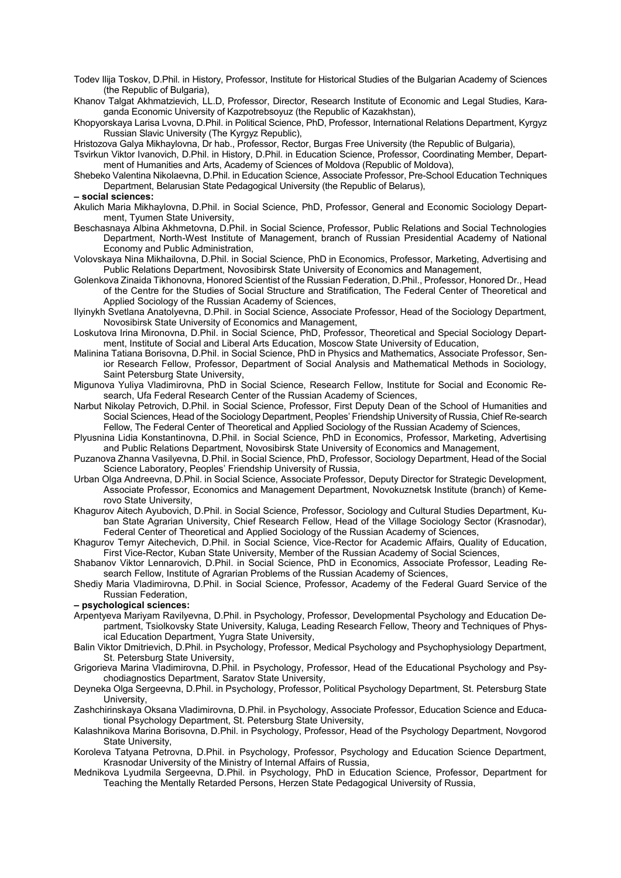- Todev Ilija Toskov, D.Phil. in History, Professor, Institute for Historical Studies of the Bulgarian Academy of Sciences (the Republic of Bulgaria),
- Khanov Talgat Akhmatzievich, LL.D, Professor, Director, Research Institute of Economic and Legal Studies, Karaganda Economic University of Kazpotrebsoyuz (the Republic of Kazakhstan),
- Khopyorskaya Larisa Lvovna, D.Phil. in Political Science, PhD, Professor, International Relations Department, Kyrgyz Russian Slavic University (The Kyrgyz Republic),

Hristozova Galya Mikhaylovna, Dr hab., Professor, Rector, Burgas Free University (the Republic of Bulgaria),

- Tsvirkun Viktor Ivanovich, D.Phil. in History, D.Phil. in Education Science, Professor, Coordinating Member, Department of Humanities and Arts, Academy of Sciences of Moldova (Republic of Moldova),
- Shebeko Valentina Nikolaevna, D.Phil. in Education Science, Associate Professor, Pre-School Education Techniques Department, Belarusian State Pedagogical University (the Republic of Belarus),

**– social sciences:**

- Akulich Maria Mikhaylovna, D.Phil. in Social Science, PhD, Professor, General and Economic Sociology Department. Tyumen State University.
- Beschasnaya Albina Akhmetovna, D.Phil. in Social Science, Professor, Public Relations and Social Technologies Department, North-West Institute of Management, branch of Russian Presidential Academy of National Economy and Public Administration,
- Volovskaya Nina Mikhailovna, D.Phil. in Social Science, PhD in Economics, Professor, Marketing, Advertising and Public Relations Department, Novosibirsk State University of Economics and Management,
- Golenkova Zinaida Tikhonovna, Honored Scientist of the Russian Federation, D.Phil., Professor, Honored Dr., Head of the Centre for the Studies of Social Structure and Stratification, The Federal Center of Theoretical and Applied Sociology of the Russian Academy of Sciences,
- Ilyinykh Svetlana Anatolyevna, D.Phil. in Social Science, Associate Professor, Head of the Sociology Department, Novosibirsk State University of Economics and Management,
- Loskutova Irina Mironovna, D.Phil. in Social Science, PhD, Professor, Theoretical and Special Sociology Department, Institute of Social and Liberal Arts Education, Moscow State University of Education,
- Malinina Tatiana Borisovna, D.Phil. in Social Science, PhD in Physics and Mathematics, Associate Professor, Senior Research Fellow, Professor, Department of Social Analysis and Mathematical Methods in Sociology, Saint Petersburg State University,
- Migunova Yuliya Vladimirovna, PhD in Social Science, Research Fellow, Institute for Social and Economic Research, Ufa Federal Research Center of the Russian Academy of Sciences,
- Narbut Nikolay Petrovich, D.Phil. in Social Science, Professor, First Deputy Dean of the School of Humanities and Social Sciences, Head of the Sociology Department, Peoples' Friendship University of Russia, Chief Re-search Fellow, The Federal Center of Theoretical and Applied Sociology of the Russian Academy of Sciences,
- Plyusnina Lidia Konstantinovna, D.Phil. in Social Science, PhD in Economics, Professor, Marketing, Advertising and Public Relations Department, Novosibirsk State University of Economics and Management,
- Puzanova Zhanna Vasilyevna, D.Phil. in Social Science, PhD, Professor, Sociology Department, Head of the Social Science Laboratory, Peoples' Friendship University of Russia,
- Urban Olga Andreevna, D.Phil. in Social Science, Associate Professor, Deputy Director for Strategic Development, Associate Professor, Economics and Management Department, Novokuznetsk Institute (branch) of Kemerovo State University,
- Khagurov Aitech Ayubovich, D.Phil. in Social Science, Professor, Sociology and Cultural Studies Department, Kuban State Agrarian University, Chief Research Fellow, Head of the Village Sociology Sector (Krasnodar), Federal Center of Theoretical and Applied Sociology of the Russian Academy of Sciences,
- Khagurov Temyr Aitechevich, D.Phil. in Social Science, Vice-Rector for Academic Affairs, Quality of Education, First Vice-Rector, Kuban State University, Member of the Russian Academy of Social Sciences,
- Shabanov Viktor Lennarovich, D.Phil. in Social Science, PhD in Economics, Associate Professor, Leading Research Fellow, Institute of Agrarian Problems of the Russian Academy of Sciences,
- Shediy Maria Vladimirovna, D.Phil. in Social Science, Professor, Academy of the Federal Guard Service of the Russian Federation,

## **– psychological sciences:**

- Arpentyeva Mariyam Ravilyevna, D.Phil. in Psychology, Professor, Developmental Psychology and Education Department, Tsiolkovsky State University, Kaluga, Leading Research Fellow, Theory and Techniques of Physical Education Department, Yugra State University,
- Balin Viktor Dmitrievich, D.Phil. in Psychology, Professor, Medical Psychology and Psychophysiology Department, St. Petersburg State University,
- Grigorieva Marina Vladimirovna, D.Phil. in Psychology, Professor, Head of the Educational Psychology and Psychodiagnostics Department, Saratov State University*,*
- Deyneka Olga Sergeevna, D.Phil. in Psychology, Professor, Political Psychology Department, St. Petersburg State University,
- Zashchirinskaya Oksana Vladimirovna, D.Phil. in Psychology, Associate Professor, Education Science and Educational Psychology Department, St. Petersburg State University,
- Kalashnikova Marina Borisovna, D.Phil. in Psychology, Professor, Head of the Psychology Department, Novgorod State University,
- Koroleva Tatyana Petrovna, D.Phil. in Psychology, Professor, Psychology and Education Science Department, Krasnodar University of the Ministry of Internal Affairs of Russia,
- Mednikova Lyudmila Sergeevna, D.Phil. in Psychology, PhD in Education Science, Professor, Department for Teaching the Mentally Retarded Persons, Herzen State Pedagogical University of Russia,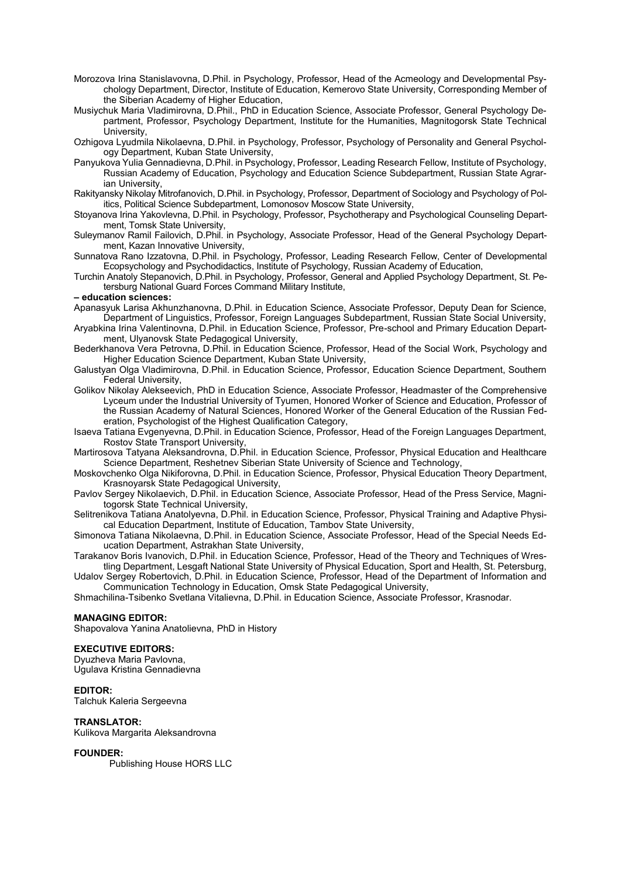- Morozova Irina Stanislavovna, D.Phil. in Psychology, Professor, Head of the Acmeology and Developmental Psychology Department, Director, Institute of Education, Kemerovo State University, Corresponding Member of the Siberian Academy of Higher Education,
- Musiychuk Maria Vladimirovna, D.Phil., PhD in Education Science, Associate Professor, General Psychology Department, Professor, Psychology Department, Institute for the Humanities, Magnitogorsk State Technical University,
- Ozhigova Lyudmila Nikolaevna, D.Phil. in Psychology, Professor, Psychology of Personality and General Psychology Department, Kuban State University,
- Panyukova Yulia Gennadievna, D.Phil. in Psychology, Professor, Leading Research Fellow, Institute of Psychology, Russian Academy of Education, Psychology and Education Science Subdepartment, Russian State Agrarian University,
- Rakityansky Nikolay Mitrofanovich, D.Phil. in Psychology, Professor, Department of Sociology and Psychology of Politics, Political Science Subdepartment, Lomonosov Moscow State University,
- Stoyanova Irina Yakovlevna, D.Phil. in Psychology, Professor, Psychotherapy and Psychological Counseling Department, Tomsk State University,
- Suleymanov Ramil Failovich, D.Phil. in Psychology, Associate Professor, Head of the General Psychology Department, Kazan Innovative University,
- Sunnatova Rano Izzatovna, D.Phil. in Psychology, Professor, Leading Research Fellow, Center of Developmental Ecopsychology and Psychodidactics, Institute of Psychology, Russian Academy of Education,
- Turchin Anatoly Stepanovich, D.Phil. in Psychology, Professor, General and Applied Psychology Department, St. Petersburg National Guard Forces Command Military Institute,

## **– education sciences:**

- Apanasyuk Larisa Akhunzhanovna, D.Phil. in Education Science, Associate Professor, Deputy Dean for Science, Department of Linguistics, Professor, Foreign Languages Subdepartment, Russian State Social University,
- Aryabkina Irina Valentinovna, D.Phil. in Education Science, Professor, Pre-school and Primary Education Department, Ulyanovsk State Pedagogical University,
- Bederkhanova Vera Petrovna, D.Phil. in Education Science, Professor, Head of the Social Work, Psychology and Higher Education Science Department, Kuban State University,
- Galustyan Olga Vladimirovna, D.Phil. in Education Science, Professor, Education Science Department, Southern Federal University,
- Golikov Nikolay Alekseevich, PhD in Education Science, Associate Professor, Headmaster of the Comprehensive Lyceum under the Industrial University of Tyumen, Honored Worker of Science and Education, Professor of the Russian Academy of Natural Sciences, Honored Worker of the General Education of the Russian Federation, Psychologist of the Highest Qualification Category,
- Isaeva Tatiana Evgenyevna, D.Phil. in Education Science, Professor, Head of the Foreign Languages Department, Rostov State Transport University,
- Martirosova Tatyana Aleksandrovna, D.Phil. in Education Science, Professor, Physical Education and Healthcare Science Department, Reshetnev Siberian State University of Science and Technology,
- Moskovchenko Olga Nikiforovna, D.Phil. in Education Science, Professor, Physical Education Theory Department, Krasnoyarsk State Pedagogical University,
- Pavlov Sergey Nikolaevich, D.Phil. in Education Science, Associate Professor, Head of the Press Service, Magnitogorsk State Technical University,
- Selitrenikova Tatiana Anatolyevna, D.Phil. in Education Science, Professor, Physical Training and Adaptive Physical Education Department, Institute of Education, Tambov State University,
- Simonova Tatiana Nikolaevna, D.Phil. in Education Science, Associate Professor, Head of the Special Needs Education Department, Astrakhan State University,
- Tarakanov Boris Ivanovich, D.Phil. in Education Science, Professor, Head of the Theory and Techniques of Wrestling Department, Lesgaft National State University of Physical Education, Sport and Health, St. Petersburg,
- Udalov Sergey Robertovich, D.Phil. in Education Science, Professor, Head of the Department of Information and Communication Technology in Education, Omsk State Pedagogical University,
- Shmachilina-Tsibenko Svetlana Vitalievna, D.Phil. in Education Science, Associate Professor, Krasnodar.

## **MANAGING EDITOR:**

Shapovalova Yanina Anatolievna, PhD in History

## **EXECUTIVE EDITORS:**

Dyuzheva Maria Pavlovna, Ugulava Kristina Gennadievna

## **EDITOR:**

Talchuk Kaleria Sergeevna

### **TRANSLATOR:**

Kulikova Margarita Aleksandrovna

## **FOUNDER:**

Publishing House HORS LLC